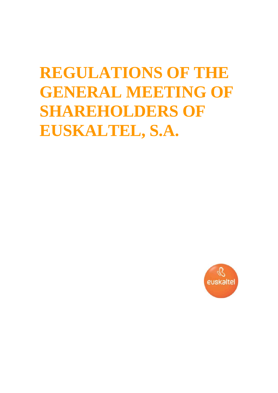# **REGULATIONS OF THE GENERAL MEETING OF SHAREHOLDERS OF EUSKALTEL, S.A.**

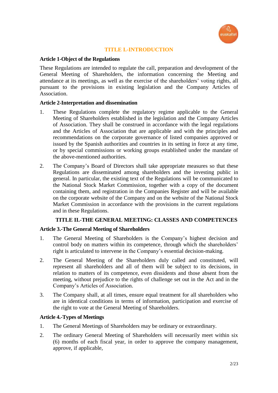

## **TITLE I.-INTRODUCTION**

## **Article 1-Object of the Regulations**

These Regulations are intended to regulate the call, preparation and development of the General Meeting of Shareholders, the information concerning the Meeting and attendance at its meetings, as well as the exercise of the shareholders' voting rights, all pursuant to the provisions in existing legislation and the Company Articles of Association.

## **Article 2-Interpretation and dissemination**

- 1. These Regulations complete the regulatory regime applicable to the General Meeting of Shareholders established in the legislation and the Company Articles of Association. They shall be construed in accordance with the legal regulations and the Articles of Association that are applicable and with the principles and recommendations on the corporate governance of listed companies approved or issued by the Spanish authorities and countries in its setting in force at any time, or by special commissions or working groups established under the mandate of the above-mentioned authorities.
- 2. The Company's Board of Directors shall take appropriate measures so that these Regulations are disseminated among shareholders and the investing public in general. In particular, the existing text of the Regulations will be communicated to the National Stock Market Commission, together with a copy of the document containing them, and registration in the Companies Register and will be available on the corporate website of the Company and on the website of the National Stock Market Commission in accordance with the provisions in the current regulations and in these Regulations.

# **TITLE II.-THE GENERAL MEETING: CLASSES AND COMPETENCES**

## **Article 3.-The General Meeting of Shareholders**

- 1. The General Meeting of Shareholders is the Company's highest decision and control body on matters within its competence, through which the shareholders' right is articulated to intervene in the Company's essential decision-making.
- 2. The General Meeting of the Shareholders duly called and constituted, will represent all shareholders and all of them will be subject to its decisions, in relation to matters of its competence, even dissidents and those absent from the meeting, without prejudice to the rights of challenge set out in the Act and in the Company's Articles of Association.
- 3. The Company shall, at all times, ensure equal treatment for all shareholders who are in identical conditions in terms of information, participation and exercise of the right to vote at the General Meeting of Shareholders.

## **Article 4.-Types of Meetings**

- 1. The General Meetings of Shareholders may be ordinary or extraordinary.
- 2. The ordinary General Meeting of Shareholders will necessarily meet within six (6) months of each fiscal year, in order to approve the company management, approve, if applicable,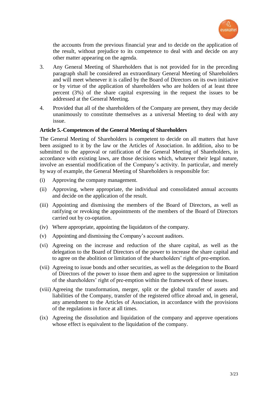

the accounts from the previous financial year and to decide on the application of the result, without prejudice to its competence to deal with and decide on any other matter appearing on the agenda.

- 3. Any General Meeting of Shareholders that is not provided for in the preceding paragraph shall be considered an extraordinary General Meeting of Shareholders and will meet whenever it is called by the Board of Directors on its own initiative or by virtue of the application of shareholders who are holders of at least three percent (3%) of the share capital expressing in the request the issues to be addressed at the General Meeting.
- 4. Provided that all of the shareholders of the Company are present, they may decide unanimously to constitute themselves as a universal Meeting to deal with any issue.

## **Article 5.-Competences of the General Meeting of Shareholders**

The General Meeting of Shareholders is competent to decide on all matters that have been assigned to it by the law or the Articles of Association. In addition, also to be submitted to the approval or ratification of the General Meeting of Shareholders, in accordance with existing laws, are those decisions which, whatever their legal nature, involve an essential modification of the Company's activity. In particular, and merely by way of example, the General Meeting of Shareholders is responsible for:

- (i) Approving the company management.
- (ii) Approving, where appropriate, the individual and consolidated annual accounts and decide on the application of the result.
- (iii) Appointing and dismissing the members of the Board of Directors, as well as ratifying or revoking the appointments of the members of the Board of Directors carried out by co-optation.
- (iv) Where appropriate, appointing the liquidators of the company.
- (v) Appointing and dismissing the Company's account auditors.
- (vi) Agreeing on the increase and reduction of the share capital, as well as the delegation to the Board of Directors of the power to increase the share capital and to agree on the abolition or limitation of the shareholders' right of pre-emption.
- (vii) Agreeing to issue bonds and other securities, as well as the delegation to the Board of Directors of the power to issue them and agree to the suppression or limitation of the shareholders' right of pre-emption within the framework of these issues.
- (viii) Agreeing the transformation, merger, split or the global transfer of assets and liabilities of the Company, transfer of the registered office abroad and, in general, any amendment to the Articles of Association, in accordance with the provisions of the regulations in force at all times.
- (ix) Agreeing the dissolution and liquidation of the company and approve operations whose effect is equivalent to the liquidation of the company.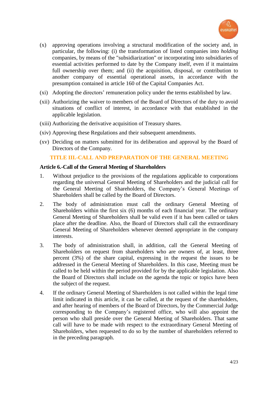

- (x) approving operations involving a structural modification of the society and, in particular, the following: (i) the transformation of listed companies into *holding* companies, by means of the "subsidiarization" or incorporating into subsidiaries of essential activities performed to date by the Company itself, even if it maintains full ownership over them; and (ii) the acquisition, disposal, or contribution to another company of essential operational assets, in accordance with the presumption contained in article 160 of the Capital Companies Act.
- (xi) Adopting the directors' remuneration policy under the terms established by law.
- (xii) Authorizing the waiver to members of the Board of Directors of the duty to avoid situations of conflict of interest, in accordance with that established in the applicable legislation.
- (xiii) Authorizing the derivative acquisition of Treasury shares.
- (xiv) Approving these Regulations and their subsequent amendments.
- (xv) Deciding on matters submitted for its deliberation and approval by the Board of Directors of the Company.

## **TITLE III.-CALL AND PREPARATION OF THE GENERAL MEETING**

## **Article 6.-Call of the General Meeting of Shareholders**

- 1. Without prejudice to the provisions of the regulations applicable to corporations regarding the universal General Meeting of Shareholders and the judicial call for the General Meeting of Shareholders, the Company's General Meetings of Shareholders shall be called by the Board of Directors.
- 2. The body of administration must call the ordinary General Meeting of Shareholders within the first six (6) months of each financial year. The ordinary General Meeting of Shareholders shall be valid even if it has been called or takes place after the deadline. Also, the Board of Directors shall call the extraordinary General Meeting of Shareholders whenever deemed appropriate in the company interests.
- 3. The body of administration shall, in addition, call the General Meeting of Shareholders on request from shareholders who are owners of, at least, three percent (3%) of the share capital, expressing in the request the issues to be addressed in the General Meeting of Shareholders. In this case, Meeting must be called to be held within the period provided for by the applicable legislation. Also the Board of Directors shall include on the agenda the topic or topics have been the subject of the request.
- 4. If the ordinary General Meeting of Shareholders is not called within the legal time limit indicated in this article, it can be called, at the request of the shareholders, and after hearing of members of the Board of Directors, by the Commercial Judge corresponding to the Company's registered office, who will also appoint the person who shall preside over the General Meeting of Shareholders. That same call will have to be made with respect to the extraordinary General Meeting of Shareholders, when requested to do so by the number of shareholders referred to in the preceding paragraph.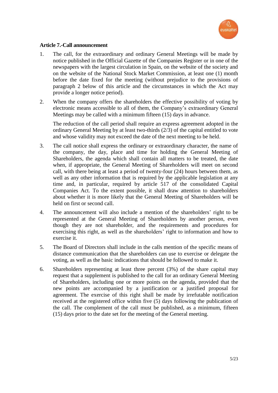

## **Article 7.-Call announcement**

- 1. The call, for the extraordinary and ordinary General Meetings will be made by notice published in the Official Gazette of the Companies Register or in one of the newspapers with the largest circulation in Spain, on the website of the society and on the website of the National Stock Market Commission, at least one (1) month before the date fixed for the meeting (without prejudice to the provisions of paragraph 2 below of this article and the circumstances in which the Act may provide a longer notice period).
- 2. When the company offers the shareholders the effective possibility of voting by electronic means accessible to all of them, the Company's extraordinary General Meetings may be called with a minimum fifteen (15) days in advance.

The reduction of the call period shall require an express agreement adopted in the ordinary General Meeting by at least two-thirds (2/3) of the capital entitled to vote and whose validity may not exceed the date of the next meeting to be held.

- 3. The call notice shall express the ordinary or extraordinary character, the name of the company, the day, place and time for holding the General Meeting of Shareholders, the agenda which shall contain all matters to be treated, the date when, if appropriate, the General Meeting of Shareholders will meet on second call, with there being at least a period of twenty-four (24) hours between them, as well as any other information that is required by the applicable legislation at any time and, in particular, required by article 517 of the consolidated Capital Companies Act. To the extent possible, it shall draw attention to shareholders about whether it is more likely that the General Meeting of Shareholders will be held on first or second call.
- 4. The announcement will also include a mention of the shareholders' right to be represented at the General Meeting of Shareholders by another person, even though they are not shareholder, and the requirements and procedures for exercising this right, as well as the shareholders' right to information and how to exercise it.
- 5. The Board of Directors shall include in the calls mention of the specific means of distance communication that the shareholders can use to exercise or delegate the voting, as well as the basic indications that should be followed to make it.
- 6. Shareholders representing at least three percent (3%) of the share capital may request that a supplement is published to the call for an ordinary General Meeting of Shareholders, including one or more points on the agenda, provided that the new points are accompanied by a justification or a justified proposal for agreement. The exercise of this right shall be made by irrefutable notification received at the registered office within five (5) days following the publication of the call. The complement of the call must be published, as a minimum, fifteen (15) days prior to the date set for the meeting of the General meeting.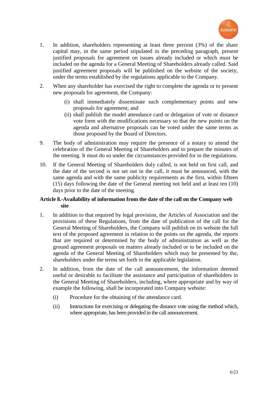

- 1. In addition, shareholders representing at least three percent (3%) of the share capital may, in the same period stipulated in the preceding paragraph, present justified proposals for agreement on issues already included or which must be included on the agenda for a General Meeting of Shareholders already called. Said justified agreement proposals will be published on the website of the society, under the terms established by the regulations applicable to the Company.
- 2. When any shareholder has exercised the right to complete the agenda or to present new proposals for agreement, the Company:
	- (i) shall immediately disseminate such complementary points and new proposals for agreement; and
	- (ii) shall publish the model attendance card or delegation of vote or distance vote form with the modifications necessary so that the new points on the agenda and alternative proposals can be voted under the same terms as those proposed by the Board of Directors.
- 9. The body of administration may require the presence of a notary to attend the celebration of the General Meeting of Shareholders and to prepare the minutes of the meeting. It must do so under the circumstances provided for in the regulations.
- 10. If the General Meeting of Shareholders duly called, is not held on first call, and the date of the second is not set out in the call, it must be announced, with the same agenda and with the same publicity requirements as the first, within fifteen (15) days following the date of the General meeting not held and at least ten (10) days prior to the date of the meeting.

## **Article 8.-Availability of information from the date of the call on the Company web site**

- 1. In addition to that required by legal provision, the Articles of Association and the provisions of these Regulations, from the date of publication of the call for the General Meeting of Shareholders, the Company will publish on its website the full text of the proposed agreement in relation to the points on the agenda, the reports that are required or determined by the body of administration as well as the ground agreement proposals on matters already included or to be included on the agenda of the General Meeting of Shareholders which may be presented by the, shareholders under the terms set forth in the applicable legislation.
- 2. In addition, from the date of the call announcement, the information deemed useful or desirable to facilitate the assistance and participation of shareholders in the General Meeting of Shareholders, including, where appropriate and by way of example the following, shall be incorporated into Company website:
	- (i) Procedure for the obtaining of the attendance card.
	- (ii) Instructions for exercising or delegating the distance vote using the method which, where appropriate, has been provided in the call announcement.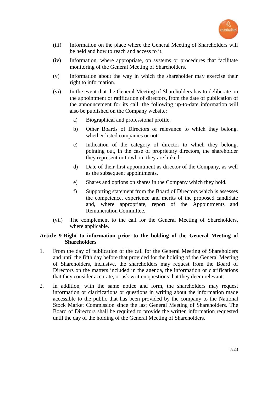

- (iii) Information on the place where the General Meeting of Shareholders will be held and how to reach and access to it.
- (iv) Information, where appropriate, on systems or procedures that facilitate monitoring of the General Meeting of Shareholders.
- (v) Information about the way in which the shareholder may exercise their right to information.
- (vi) In the event that the General Meeting of Shareholders has to deliberate on the appointment or ratification of directors, from the date of publication of the announcement for its call, the following up-to-date information will also be published on the Company website:
	- a) Biographical and professional profile.
	- b) Other Boards of Directors of relevance to which they belong, whether listed companies or not.
	- c) Indication of the category of director to which they belong, pointing out, in the case of proprietary directors, the shareholder they represent or to whom they are linked.
	- d) Date of their first appointment as director of the Company, as well as the subsequent appointments.
	- e) Shares and options on shares in the Company which they hold.
	- f) Supporting statement from the Board of Directors which is assesses the competence, experience and merits of the proposed candidate and, where appropriate, report of the Appointments and Remuneration Committee.
- (vii) The complement to the call for the General Meeting of Shareholders, where applicable.

## **Article 9-Right to information prior to the holding of the General Meeting of Shareholders**

- 1. From the day of publication of the call for the General Meeting of Shareholders and until the fifth day before that provided for the holding of the General Meeting of Shareholders, inclusive, the shareholders may request from the Board of Directors on the matters included in the agenda, the information or clarifications that they consider accurate, or ask written questions that they deem relevant.
- 2. In addition, with the same notice and form, the shareholders may request information or clarifications or questions in writing about the information made accessible to the public that has been provided by the company to the National Stock Market Commission since the last General Meeting of Shareholders. The Board of Directors shall be required to provide the written information requested until the day of the holding of the General Meeting of Shareholders.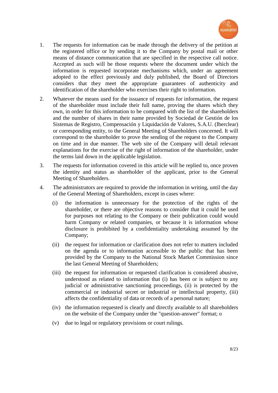

- 1. The requests for information can be made through the delivery of the petition at the registered office or by sending it to the Company by postal mail or other means of distance communication that are specified in the respective call notice. Accepted as such will be those requests where the document under which the information is requested incorporate mechanisms which, under an agreement adopted to the effect previously and duly published, the Board of Directors considers that they meet the appropriate guarantees of authenticity and identification of the shareholder who exercises their right to information.
- 2. Whatever the means used for the issuance of requests for information, the request of the shareholder must include their full name, proving the shares which they own, in order for this information to be compared with the list of the shareholders and the number of shares in their name provided by Sociedad de Gestión de los Sistemas de Registro, Compensación y Liquidación de Valores, S.A.U. (Iberclear) or corresponding entity, to the General Meeting of Shareholders concerned. It will correspond to the shareholder to prove the sending of the request to the Company on time and in due manner. The web site of the Company will detail relevant explanations for the exercise of the right of information of the shareholder, under the terms laid down in the applicable legislation.
- 3. The requests for information covered in this article will be replied to, once proven the identity and status as shareholder of the applicant, prior to the General Meeting of Shareholders.
- 4. The administrators are required to provide the information in writing, until the day of the General Meeting of Shareholders, except in cases where:
	- (i) the information is unnecessary for the protection of the rights of the shareholder, or there are objective reasons to consider that it could be used for purposes not relating to the Company or their publication could would harm Company or related companies, or because it is information whose disclosure is prohibited by a confidentiality undertaking assumed by the Company;
	- (ii) the request for information or clarification does not refer to matters included on the agenda or to information accessible to the public that has been provided by the Company to the National Stock Market Commission since the last General Meeting of Shareholders;
	- (iii) the request for information or requested clarification is considered abusive, understood as related to information that (i) has been or is subject to any judicial or administrative sanctioning proceedings, (ii) is protected by the commercial or industrial secret or industrial or intellectual property, (iii) affects the confidentiality of data or records of a personal nature;
	- (iv) the information requested is clearly and directly available to all shareholders on the website of the Company under the "question-answer" format; o
	- (v) due to legal or regulatory provisions or court rulings.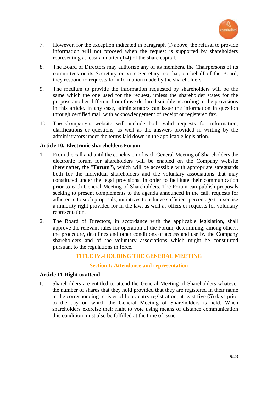

- 7. However, for the exception indicated in paragraph (i) above, the refusal to provide information will not proceed when the request is supported by shareholders representing at least a quarter (1/4) of the share capital.
- 8. The Board of Directors may authorize any of its members, the Chairpersons of its committees or its Secretary or Vice-Secretary, so that, on behalf of the Board, they respond to requests for information made by the shareholders.
- 9. The medium to provide the information requested by shareholders will be the same which the one used for the request, unless the shareholder states for the purpose another different from those declared suitable according to the provisions in this article. In any case, administrators can issue the information in question through certified mail with acknowledgement of receipt or registered fax.
- 10. The Company's website will include both valid requests for information, clarifications or questions, as well as the answers provided in writing by the administrators under the terms laid down in the applicable legislation.

## **Article 10.-Electronic shareholders Forum**

- 1. From the call and until the conclusion of each General Meeting of Shareholders the electronic forum for shareholders will be enabled on the Company website (hereinafter, the "**Forum**"), which will be accessible with appropriate safeguards both for the individual shareholders and the voluntary associations that may constituted under the legal provisions, in order to facilitate their communication prior to each General Meeting of Shareholders. The Forum can publish proposals seeking to present complements to the agenda announced in the call, requests for adherence to such proposals, initiatives to achieve sufficient percentage to exercise a minority right provided for in the law, as well as offers or requests for voluntary representation.
- 2. The Board of Directors, in accordance with the applicable legislation, shall approve the relevant rules for operation of the Forum, determining, among others, the procedure, deadlines and other conditions of access and use by the Company shareholders and of the voluntary associations which might be constituted pursuant to the regulations in force.

## **TITLE IV.-HOLDING THE GENERAL MEETING**

## **Section I: Attendance and representation**

#### **Article 11-Right to attend**

1. Shareholders are entitled to attend the General Meeting of Shareholders whatever the number of shares that they hold provided that they are registered in their name in the corresponding register of book-entry registration, at least five (5) days prior to the day on which the General Meeting of Shareholders is held. When shareholders exercise their right to vote using means of distance communication this condition must also be fulfilled at the time of issue.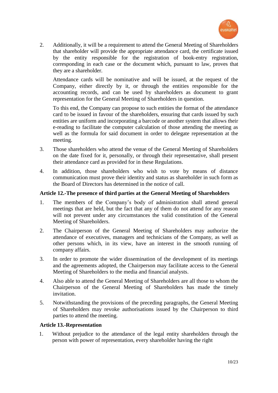

2. Additionally, it will be a requirement to attend the General Meeting of Shareholders that shareholder will provide the appropriate attendance card, the certificate issued by the entity responsible for the registration of book-entry registration, corresponding in each case or the document which, pursuant to law, proves that they are a shareholder.

Attendance cards will be nominative and will be issued, at the request of the Company, either directly by it, or through the entities responsible for the accounting records, and can be used by shareholders as document to grant representation for the General Meeting of Shareholders in question.

To this end, the Company can propose to such entities the format of the attendance card to be issued in favour of the shareholders, ensuring that cards issued by such entities are uniform and incorporating a barcode or another system that allows their e-reading to facilitate the computer calculation of those attending the meeting as well as the formula for said document in order to delegate representation at the meeting.

- 3. Those shareholders who attend the venue of the General Meeting of Shareholders on the date fixed for it, personally, or through their representative, shall present their attendance card as provided for in these Regulations.
- 4. In addition, those shareholders who wish to vote by means of distance communication must prove their identity and status as shareholder in such form as the Board of Directors has determined in the notice of call.

## **Article 12.-The presence of third parties at the General Meeting of Shareholders**

- 1. The members of the Company's body of administration shall attend general meetings that are held, but the fact that any of them do not attend for any reason will not prevent under any circumstances the valid constitution of the General Meeting of Shareholders.
- 2. The Chairperson of the General Meeting of Shareholders may authorize the attendance of executives, managers and technicians of the Company, as well as other persons which, in its view, have an interest in the smooth running of company affairs.
- 3. In order to promote the wider dissemination of the development of its meetings and the agreements adopted, the Chairperson may facilitate access to the General Meeting of Shareholders to the media and financial analysts.
- 4. Also able to attend the General Meeting of Shareholders are all those to whom the Chairperson of the General Meeting of Shareholders has made the timely invitation.
- 5. Notwithstanding the provisions of the preceding paragraphs, the General Meeting of Shareholders may revoke authorisations issued by the Chairperson to third parties to attend the meeting.

# **Article 13.-Representation**

1. Without prejudice to the attendance of the legal entity shareholders through the person with power of representation, every shareholder having the right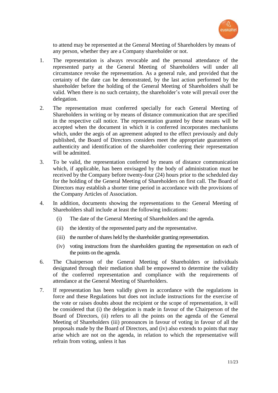

to attend may be represented at the General Meeting of Shareholders by means of any person, whether they are a Company shareholder or not.

- 1. The representation is always revocable and the personal attendance of the represented party at the General Meeting of Shareholders will under all circumstance revoke the representation. As a general rule, and provided that the certainty of the date can be demonstrated, by the last action performed by the shareholder before the holding of the General Meeting of Shareholders shall be valid. When there is no such certainty, the shareholder's vote will prevail over the delegation.
- 2. The representation must conferred specially for each General Meeting of Shareholders in writing or by means of distance communication that are specified in the respective call notice. The representation granted by these means will be accepted when the document in which it is conferred incorporates mechanisms which, under the aegis of an agreement adopted to the effect previously and duly published, the Board of Directors considers meet the appropriate guarantees of authenticity and identification of the shareholder conferring their representation will be admitted.
- 3. To be valid, the representation conferred by means of distance communication which, if applicable, has been envisaged by the body of administration must be received by the Company before twenty-four (24) hours prior to the scheduled day for the holding of the General Meeting of Shareholders on first call. The Board of Directors may establish a shorter time period in accordance with the provisions of the Company Articles of Association.
- 4. In addition, documents showing the representations to the General Meeting of Shareholders shall include at least the following indications:
	- (i) The date of the General Meeting of Shareholders and the agenda.
	- (ii) the identity of the represented party and the representative.
	- (iii) the number of shares held by the shareholder granting representation.
	- (iv) voting instructions from the shareholders granting the representation on each of the points on the agenda.
- 6. The Chairperson of the General Meeting of Shareholders or individuals designated through their mediation shall be empowered to determine the validity of the conferred representation and compliance with the requirements of attendance at the General Meeting of Shareholders.
- 7. If representation has been validly given in accordance with the regulations in force and these Regulations but does not include instructions for the exercise of the vote or raises doubts about the recipient or the scope of representation, it will be considered that (i) the delegation is made in favour of the Chairperson of the Board of Directors, (ii) refers to all the points on the agenda of the General Meeting of Shareholders (iii) pronounces in favour of voting in favour of all the proposals made by the Board of Directors, and (iv) also extends to points that may arise which are not on the agenda, in relation to which the representative will refrain from voting, unless it has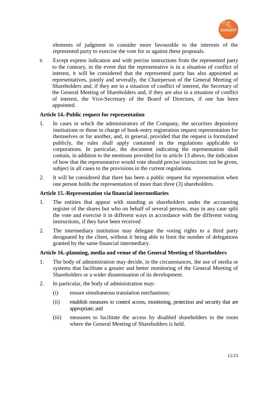

elements of judgment to consider more favourable to the interests of the represented party to exercise the vote for or against these proposals.

8. Except express indication and with precise instructions from the represented party to the contrary, in the event that the representative is in a situation of conflict of interest, it will be considered that the represented party has also appointed as representatives, jointly and severally, the Chairperson of the General Meeting of Shareholders and, if they are in a situation of conflict of interest, the Secretary of the General Meeting of Shareholders and, if they are also in a situation of conflict of interest, the Vice-Secretary of the Board of Directors, if one has been appointed.

## **Article 14.-Public request for representation**

- 1. In cases in which the administrators of the Company, the securities depository institutions or those in charge of book-entry registration request representation for themselves or for another, and, in general, provided that the request is formulated publicly, the rules shall apply contained in the regulations applicable to corporations. In particular, the document indicating the representation shall contain, in addition to the mentions provided for in article 13 above, the indication of how that the representative would vote should precise instructions not be given, subject in all cases to the provisions in the current regulations.
- 2. It will be considered that there has been a public request for representation when one person holds the representation of more than three (3) shareholders.

## **Article 15.-Representation via financial intermediaries**

- 1. The entities that appear with standing as shareholders under the accounting register of the shares but who on behalf of several persons, may in any case split the vote and exercise it in different ways in accordance with the different voting instructions, if they have been received
- 2. The intermediary institution may delegate the voting rights to a third party designated by the client, without it being able to limit the number of delegations granted by the same financial intermediary*.*

## **Article 16.-planning, media and venue of the General Meeting of Shareholders**

- 1. The body of administration may decide, in the circumstances, the use of media or systems that facilitate a greater and better monitoring of the General Meeting of Shareholders or a wider dissemination of its development.
- 2. In particular, the body of administration may:
	- (i) ensure simultaneous translation mechanisms;
	- (ii) establish measures to control access, monitoring, protection and security that are appropriate; and
	- (iii) measures to facilitate the access by disabled shareholders to the room where the General Meeting of Shareholders is held.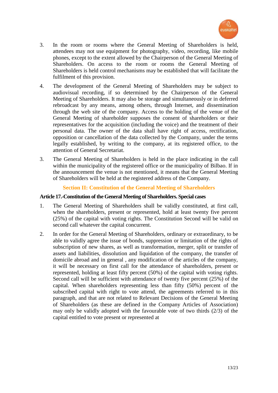

- 3. In the room or rooms where the General Meeting of Shareholders is held, attendees may not use equipment for photography, video, recording, like mobile phones, except to the extent allowed by the Chairperson of the General Meeting of Shareholders. On access to the room or rooms the General Meeting of Shareholders is held control mechanisms may be established that will facilitate the fulfilment of this provision.
- 4. The development of the General Meeting of Shareholders may be subject to audiovisual recording, if so determined by the Chairperson of the General Meeting of Shareholders. It may also be storage and simultaneously or in deferred rebroadcast by any means, among others, through Internet, and dissemination through the web site of the company. Access to the holding of the venue of the General Meeting of shareholder supposes the consent of shareholders or their representatives for the acquisition (including the voice) and the treatment of their personal data. The owner of the data shall have right of access, rectification, opposition or cancellation of the data collected by the Company, under the terms legally established, by writing to the company, at its registered office, to the attention of General Secretariat.
- 3. The General Meeting of Shareholders is held in the place indicating in the call within the municipality of the registered office or the municipality of Bilbao. If in the announcement the venue is not mentioned, it means that the General Meeting of Shareholders will be held at the registered address of the Company.

# **Section II: Constitution of the General Meeting of Shareholders**

#### **Article 17.-Constitution of the General Meeting of Shareholders. Special cases**

- 1. The General Meeting of Shareholders shall be validly constituted, at first call, when the shareholders, present or represented, hold at least twenty five percent (25%) of the capital with voting rights. The Constitution Second will be valid on second call whatever the capital concurrent.
- 2. In order for the General Meeting of Shareholders, ordinary or extraordinary, to be able to validly agree the issue of bonds, suppression or limitation of the rights of subscription of new shares, as well as transformation, merger, split or transfer of assets and liabilities, dissolution and liquidation of the company, the transfer of domicile abroad and in general , any modification of the articles of the company, it will be necessary on first call for the attendance of shareholders, present or represented, holding at least fifty percent (50%) of the capital with voting rights. Second call will be sufficient with attendance of twenty five percent (25%) of the capital. When shareholders representing less than fifty (50%) percent of the subscribed capital with right to vote attend, the agreements referred to in this paragraph, and that are not related to Relevant Decisions of the General Meeting of Shareholders (as these are defined in the Company Articles of Association) may only be validly adopted with the favourable vote of two thirds (2/3) of the capital entitled to vote present or represented at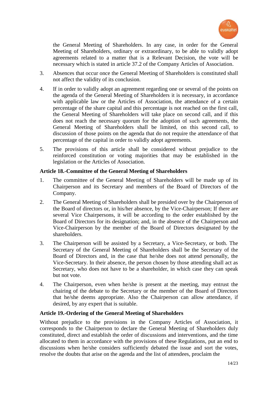

the General Meeting of Shareholders. In any case, in order for the General Meeting of Shareholders, ordinary or extraordinary, to be able to validly adopt agreements related to a matter that is a Relevant Decision, the vote will be necessary which is stated in article 37.2 of the Company Articles of Association.

- 3. Absences that occur once the General Meeting of Shareholders is constituted shall not affect the validity of its conclusion.
- 4. If in order to validly adopt an agreement regarding one or several of the points on the agenda of the General Meeting of Shareholders it is necessary, in accordance with applicable law or the Articles of Association, the attendance of a certain percentage of the share capital and this percentage is not reached on the first call, the General Meeting of Shareholders will take place on second call, and if this does not reach the necessary quorum for the adoption of such agreements, the General Meeting of Shareholders shall be limited, on this second call, to discussion of those points on the agenda that do not require the attendance of that percentage of the capital in order to validly adopt agreements.
- 5. The provisions of this article shall be considered without prejudice to the reinforced constitution or voting majorities that may be established in the legislation or the Articles of Association.

## **Article 18.-Committee of the General Meeting of Shareholders**

- 1. The committee of the General Meeting of Shareholders will be made up of its Chairperson and its Secretary and members of the Board of Directors of the Company.
- 2. The General Meeting of Shareholders shall be presided over by the Chairperson of the Board of directors or, in his/her absence, by the Vice-Chairperson; If there are several Vice Chairpersons, it will be according to the order established by the Board of Directors for its designation; and, in the absence of the Chairperson and Vice-Chairperson by the member of the Board of Directors designated by the shareholders.
- 3. The Chairperson will be assisted by a Secretary, a Vice-Secretary, or both. The Secretary of the General Meeting of Shareholders shall be the Secretary of the Board of Directors and, in the case that he/she does not attend personally, the Vice-Secretary. In their absence, the person chosen by those attending shall act as Secretary, who does not have to be a shareholder, in which case they can speak but not vote.
- 4. The Chairperson, even when he/she is present at the meeting, may entrust the chairing of the debate to the Secretary or the member of the Board of Directors that he/she deems appropriate. Also the Chairperson can allow attendance, if desired, by any expert that is suitable.

## **Article 19.-Ordering of the General Meeting of Shareholders**

Without prejudice to the provisions in the Company Articles of Association, it corresponds to the Chairperson to declare the General Meeting of Shareholders duly constituted, direct and establish the order of discussions and interventions, and the time allocated to them in accordance with the provisions of these Regulations, put an end to discussions when he/she considers sufficiently debated the issue and sort the votes, resolve the doubts that arise on the agenda and the list of attendees, proclaim the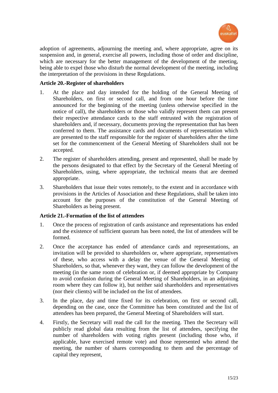

adoption of agreements, adjourning the meeting and, where appropriate, agree on its suspension and, in general, exercise all powers, including those of order and discipline, which are necessary for the better management of the development of the meeting, being able to expel those who disturb the normal development of the meeting, including the interpretation of the provisions in these Regulations.

## **Article 20.-Register of shareholders**

- 1. At the place and day intended for the holding of the General Meeting of Shareholders, on first or second call, and from one hour before the time announced for the beginning of the meeting (unless otherwise specified in the notice of call), the shareholders or those who validly represent them can present their respective attendance cards to the staff entrusted with the registration of shareholders and, if necessary, documents proving the representation that has been conferred to them. The assistance cards and documents of representation which are presented to the staff responsible for the register of shareholders after the time set for the commencement of the General Meeting of Shareholders shall not be accepted.
- 2. The register of shareholders attending, present and represented, shall be made by the persons designated to that effect by the Secretary of the General Meeting of Shareholders, using, where appropriate, the technical means that are deemed appropriate.
- 3. Shareholders that issue their votes remotely, to the extent and in accordance with provisions in the Articles of Association and these Regulations, shall be taken into account for the purposes of the constitution of the General Meeting of Shareholders as being present.

# **Article 21.-Formation of the list of attendees**

- 1. Once the process of registration of cards assistance and representations has ended and the existence of sufficient quorum has been noted, the list of attendees will be formed.
- 2. Once the acceptance has ended of attendance cards and representations, an invitation will be provided to shareholders or, where appropriate, representatives of these, who access with a delay the venue of the General Meeting of Shareholders, so that, whenever they want, they can follow the development of the meeting (in the same room of celebration or, if deemed appropriate by Company to avoid confusion during the General Meeting of Shareholders, in an adjoining room where they can follow it), but neither said shareholders and representatives (nor their clients) will be included on the list of attendees.
- 3. In the place, day and time fixed for its celebration, on first or second call, depending on the case, once the Committee has been constituted and the list of attendees has been prepared, the General Meeting of Shareholders will start.
- 4. Firstly, the Secretary will read the call for the meeting. Then the Secretary will publicly read global data resulting from the list of attendees, specifying the number of shareholders with voting rights present (including those who, if applicable, have exercised remote vote) and those represented who attend the meeting, the number of shares corresponding to them and the percentage of capital they represent,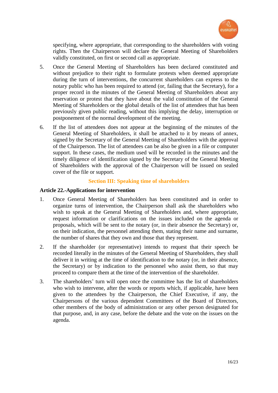

specifying, where appropriate, that corresponding to the shareholders with voting rights. Then the Chairperson will declare the General Meeting of Shareholders validly constituted, on first or second call as appropriate.

- 5. Once the General Meeting of Shareholders has been declared constituted and without prejudice to their right to formulate protests when deemed appropriate during the turn of interventions, the concurrent shareholders can express to the notary public who has been required to attend (or, failing that the Secretary), for a proper record in the minutes of the General Meeting of Shareholders about any reservation or protest that they have about the valid constitution of the General Meeting of Shareholders or the global details of the list of attendees that has been previously given public reading, without this implying the delay, interruption or postponement of the normal development of the meeting.
- 6. If the list of attendees does not appear at the beginning of the minutes of the General Meeting of Shareholders, it shall be attached to it by means of annex, signed by the Secretary of the General Meeting of Shareholders with the approval of the Chairperson. The list of attendees can be also be given in a file or computer support. In these cases, the medium used will be recorded in the minutes and the timely diligence of identification signed by the Secretary of the General Meeting of Shareholders with the approval of the Chairperson will be issued on sealed cover of the file or support.

## **Section III: Speaking time of shareholders**

## **Article 22.-Applications for intervention**

- 1. Once General Meeting of Shareholders has been constituted and in order to organize turns of intervention, the Chairperson shall ask the shareholders who wish to speak at the General Meeting of Shareholders and, where appropriate, request information or clarifications on the issues included on the agenda or proposals, which will be sent to the notary (or, in their absence the Secretary) or, on their indication, the personnel attending them, stating their name and surname, the number of shares that they own and those that they represent.
- 2. If the shareholder (or representative) intends to request that their speech be recorded literally in the minutes of the General Meeting of Shareholders, they shall deliver it in writing at the time of identification to the notary (or, in their absence, the Secretary) or by indication to the personnel who assist them, so that may proceed to compare them at the time of the intervention of the shareholder.
- 3. The shareholders' turn will open once the committee has the list of shareholders who wish to intervene, after the words or reports which, if applicable, have been given to the attendees by the Chairperson, the Chief Executive, if any, the Chairpersons of the various dependent Committees of the Board of Directors, other members of the body of administration or any other person designated for that purpose, and, in any case, before the debate and the vote on the issues on the agenda.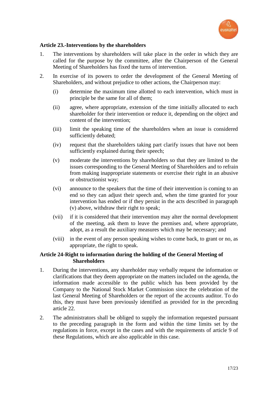

## **Article 23.-Interventions by the shareholders**

- 1. The interventions by shareholders will take place in the order in which they are called for the purpose by the committee, after the Chairperson of the General Meeting of Shareholders has fixed the turns of intervention.
- 2. In exercise of its powers to order the development of the General Meeting of Shareholders, and without prejudice to other actions, the Chairperson may:
	- (i) determine the maximum time allotted to each intervention, which must in principle be the same for all of them;
	- (ii) agree, where appropriate, extension of the time initially allocated to each shareholder for their intervention or reduce it, depending on the object and content of the intervention;
	- (iii) limit the speaking time of the shareholders when an issue is considered sufficiently debated;
	- (iv) request that the shareholders taking part clarify issues that have not been sufficiently explained during their speech;
	- (v) moderate the interventions by shareholders so that they are limited to the issues corresponding to the General Meeting of Shareholders and to refrain from making inappropriate statements or exercise their right in an abusive or obstructionist way;
	- (vi) announce to the speakers that the time of their intervention is coming to an end so they can adjust their speech and, when the time granted for your intervention has ended or if they persist in the acts described in paragraph (v) above, withdraw their right to speak;
	- (vii) if it is considered that their intervention may alter the normal development of the meeting, ask them to leave the premises and, where appropriate, adopt, as a result the auxiliary measures which may be necessary; and
	- (viii) in the event of any person speaking wishes to come back, to grant or no, as appropriate, the right to speak.

## **Article 24-Right to information during the holding of the General Meeting of Shareholders**

- 1. During the interventions, any shareholder may verbally request the information or clarifications that they deem appropriate on the matters included on the agenda, the information made accessible to the public which has been provided by the Company to the National Stock Market Commission since the celebration of the last General Meeting of Shareholders or the report of the accounts auditor. To do this, they must have been previously identified as provided for in the preceding article 22.
- 2. The administrators shall be obliged to supply the information requested pursuant to the preceding paragraph in the form and within the time limits set by the regulations in force, except in the cases and with the requirements of article 9 of these Regulations, which are also applicable in this case.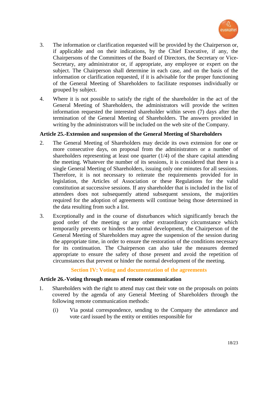

- 3. The information or clarification requested will be provided by the Chairperson or, if applicable and on their indications, by the Chief Executive, if any, the Chairpersons of the Committees of the Board of Directors, the Secretary or Vice-Secretary, any administrator or, if appropriate, any employee or expert on the subject. The Chairperson shall determine in each case, and on the basis of the information or clarification requested, if it is advisable for the proper functioning of the General Meeting of Shareholders to facilitate responses individually or grouped by subject.
- 4. Where it is not possible to satisfy the right of the shareholder in the act of the General Meeting of Shareholders, the administrators will provide the written information requested the interested shareholder within seven (7) days after the termination of the General Meeting of Shareholders. The answers provided in writing by the administrators will be included on the web site of the Company.

## **Article 25.-Extension and suspension of the General Meeting of Shareholders**

- 2. The General Meeting of Shareholders may decide its own extension for one or more consecutive days, on proposal from the administrators or a number of shareholders representing at least one quarter  $(1/4)$  of the share capital attending the meeting. Whatever the number of its sessions, it is considered that there is a single General Meeting of Shareholders, issuing only one minutes for all sessions. Therefore, it is not necessary to reiterate the requirements provided for in legislation, the Articles of Association or these Regulations for the valid constitution at successive sessions. If any shareholder that is included in the list of attendees does not subsequently attend subsequent sessions, the majorities required for the adoption of agreements will continue being those determined in the data resulting from such a list.
- 3. Exceptionally and in the course of disturbances which significantly breach the good order of the meeting or any other extraordinary circumstance which temporarily prevents or hinders the normal development, the Chairperson of the General Meeting of Shareholders may agree the suspension of the session during the appropriate time, in order to ensure the restoration of the conditions necessary for its continuation. The Chairperson can also take the measures deemed appropriate to ensure the safety of those present and avoid the repetition of circumstances that prevent or hinder the normal development of the meeting.

# **Section IV: Voting and documentation of the agreements**

## **Article 26.-Voting through means of remote communication**

- 1. Shareholders with the right to attend may cast their vote on the proposals on points covered by the agenda of any General Meeting of Shareholders through the following remote communication methods:
	- (i) Via postal correspondence, sending to the Company the attendance and vote card issued by the entity or entities responsible for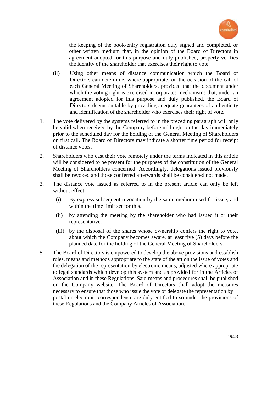

the keeping of the book-entry registration duly signed and completed, or other written medium that, in the opinion of the Board of Directors in agreement adopted for this purpose and duly published, properly verifies the identity of the shareholder that exercises their right to vote.

- (ii) Using other means of distance communication which the Board of Directors can determine, where appropriate, on the occasion of the call of each General Meeting of Shareholders, provided that the document under which the voting right is exercised incorporates mechanisms that, under an agreement adopted for this purpose and duly published, the Board of Directors deems suitable by providing adequate guarantees of authenticity and identification of the shareholder who exercises their right of vote.
- 1. The vote delivered by the systems referred to in the preceding paragraph will only be valid when received by the Company before midnight on the day immediately prior to the scheduled day for the holding of the General Meeting of Shareholders on first call. The Board of Directors may indicate a shorter time period for receipt of distance votes.
- 2. Shareholders who cast their vote remotely under the terms indicated in this article will be considered to be present for the purposes of the constitution of the General Meeting of Shareholders concerned. Accordingly, delegations issued previously shall be revoked and those conferred afterwards shall be considered not made.
- 3. The distance vote issued as referred to in the present article can only be left without effect:
	- (i) By express subsequent revocation by the same medium used for issue, and within the time limit set for this.
	- (ii) by attending the meeting by the shareholder who had issued it or their representative.
	- (iii) by the disposal of the shares whose ownership confers the right to vote, about which the Company becomes aware, at least five (5) days before the planned date for the holding of the General Meeting of Shareholders.
- 5. The Board of Directors is empowered to develop the above provisions and establish rules, means and methods appropriate to the state of the art on the issue of votes and the delegation of the representation by electronic means, adjusted where appropriate to legal standards which develop this system and as provided for in the Articles of Association and in these Regulations. Said means and procedures shall be published on the Company website. The Board of Directors shall adopt the measures necessary to ensure that those who issue the vote or delegate the representation by postal or electronic correspondence are duly entitled to so under the provisions of these Regulations and the Company Articles of Association.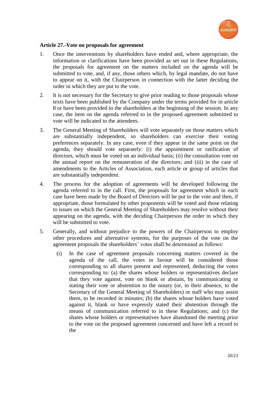

## **Article 27.-Vote on proposals for agreement**

- 1. Once the interventions by shareholders have ended and, where appropriate, the information or clarifications have been provided as set out in these Regulations, the proposals for agreement on the matters included on the agenda will be submitted to vote, and, if any, those others which, by legal mandate, do not have to appear on it, with the Chairperson in connection with the latter deciding the order in which they are put to the vote.
- 2. It is not necessary for the Secretary to give prior reading to those proposals whose texts have been published by the Company under the terms provided for in article 8 or have been provided to the shareholders at the beginning of the session. In any case, the item on the agenda referred to in the proposed agreement submitted to vote will be indicated to the attendees.
- 3. The General Meeting of Shareholders will vote separately on those matters which are substantially independent, so shareholders can exercise their voting preferences separately. In any case, even if they appear in the same point on the agenda, they should vote separately: (i) the appointment or ratification of directors, which must be voted on an individual basis; (ii) the consultation vote on the annual report on the remuneration of the directors; and (iii) in the case of amendments to the Articles of Association, each article or group of articles that are substantially independent.
- 4. The process for the adoption of agreements will be developed following the agenda referred to in the call. First, the proposals for agreement which in each case have been made by the Board of Directors will be put to the vote and then, if appropriate, those formulated by other proponents will be voted and those relating to issues on which the General Meeting of Shareholders may resolve without their appearing on the agenda, with the deciding Chairperson the order in which they will be submitted to vote.
- 5. Generally, and without prejudice to the powers of the Chairperson to employ other procedures and alternative systems, for the purposes of the vote on the agreement proposals the shareholders' votes shall be determined as follows:
	- (i) In the case of agreement proposals concerning matters covered in the agenda of the call, the votes in favour will be considered those corresponding to all shares present and represented, deducting the votes corresponding to: (a) the shares whose holders or representatives declare that they vote against, vote on blank or abstain, by communicating or stating their vote or abstention to the notary (or, in their absence, to the Secretary of the General Meeting of Shareholders) or staff who may assist them, to be recorded in minutes; (b) the shares whose holders have voted against it, blank or have expressly stated their abstention through the means of communication referred to in these Regulations; and (c) the shares whose holders or representatives have abandoned the meeting prior to the vote on the proposed agreement concerned and have left a record to the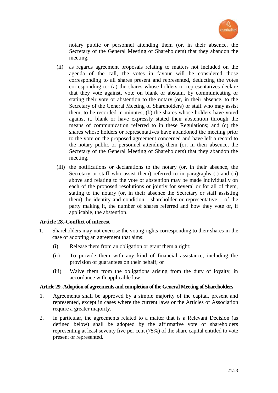

notary public or personnel attending them (or, in their absence, the Secretary of the General Meeting of Shareholders) that they abandon the meeting.

- (ii) as regards agreement proposals relating to matters not included on the agenda of the call, the votes in favour will be considered those corresponding to all shares present and represented, deducting the votes corresponding to: (a) the shares whose holders or representatives declare that they vote against, vote on blank or abstain, by communicating or stating their vote or abstention to the notary (or, in their absence, to the Secretary of the General Meeting of Shareholders) or staff who may assist them, to be recorded in minutes; (b) the shares whose holders have voted against it, blank or have expressly stated their abstention through the means of communication referred to in these Regulations; and (c) the shares whose holders or representatives have abandoned the meeting prior to the vote on the proposed agreement concerned and have left a record to the notary public or personnel attending them (or, in their absence, the Secretary of the General Meeting of Shareholders) that they abandon the meeting.
- (iii) the notifications or declarations to the notary (or, in their absence, the Secretary or staff who assist them) referred to in paragraphs (i) and (ii) above and relating to the vote or abstention may be made individually on each of the proposed resolutions or jointly for several or for all of them, stating to the notary (or, in their absence the Secretary or staff assisting them) the identity and condition - shareholder or representative  $-$  of the party making it, the number of shares referred and how they vote or, if applicable, the abstention.

## **Article 28.-Conflict of interest**

- 1. Shareholders may not exercise the voting rights corresponding to their shares in the case of adopting an agreement that aims:
	- (i) Release them from an obligation or grant them a right;
	- (ii) To provide them with any kind of financial assistance, including the provision of guarantees on their behalf; or
	- (iii) Waive them from the obligations arising from the duty of loyalty, in accordance with applicable law.

#### **Article 29.-Adoption of agreements and completion of the General Meeting of Shareholders**

- 1. Agreements shall be approved by a simple majority of the capital, present and represented, except in cases where the current laws or the Articles of Association require a greater majority.
- 2. In particular, the agreements related to a matter that is a Relevant Decision (as defined below) shall be adopted by the affirmative vote of shareholders representing at least seventy five per cent (75%) of the share capital entitled to vote present or represented.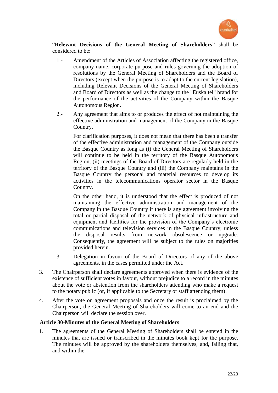

"**Relevant Decisions of the General Meeting of Shareholders**" shall be considered to be:

- 1.- Amendment of the Articles of Association affecting the registered office, company name, corporate purpose and rules governing the adoption of resolutions by the General Meeting of Shareholders and the Board of Directors (except when the purpose is to adapt to the current legislation), including Relevant Decisions of the General Meeting of Shareholders and Board of Directors as well as the change to the "Euskaltel" brand for the performance of the activities of the Company within the Basque Autonomous Region.
- 2.- Any agreement that aims to or produces the effect of not maintaining the effective administration and management of the Company in the Basque Country.

For clarification purposes, it does not mean that there has been a transfer of the effective administration and management of the Company outside the Basque Country as long as (i) the General Meeting of Shareholders will continue to be held in the territory of the Basque Autonomous Region, (ii) meetings of the Board of Directors are regularly held in the territory of the Basque Country and (iii) the Company maintains in the Basque Country the personal and material resources to develop its activities in the telecommunications operator sector in the Basque Country.

On the other hand, it is understood that the effect is produced of not maintaining the effective administration and management of the Company in the Basque Country if there is any agreement involving the total or partial disposal of the network of physical infrastructure and equipment and facilities for the provision of the Company's electronic communications and television services in the Basque Country, unless the disposal results from network obsolescence or upgrade. Consequently, the agreement will be subject to the rules on majorities provided herein.

- 3.- Delegation in favour of the Board of Directors of any of the above agreements, in the cases permitted under the Act.
- 3. The Chairperson shall declare agreements approved when there is evidence of the existence of sufficient votes in favour, without prejudice to a record in the minutes about the vote or abstention from the shareholders attending who make a request to the notary public (or, if applicable to the Secretary or staff attending them).
- 4. After the vote on agreement proposals and once the result is proclaimed by the Chairperson, the General Meeting of Shareholders will come to an end and the Chairperson will declare the session over.

## **Article 30-Minutes of the General Meeting of Shareholders**

1. The agreements of the General Meeting of Shareholders shall be entered in the minutes that are issued or transcribed in the minutes book kept for the purpose. The minutes will be approved by the shareholders themselves, and, failing that, and within the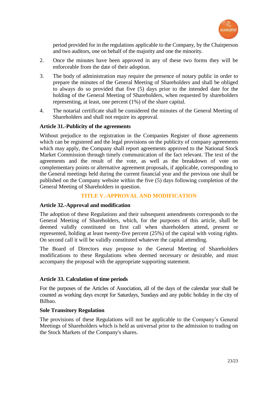

period provided for in the regulations applicable to the Company, by the Chairperson and two auditors, one on behalf of the majority and one the minority.

- 2. Once the minutes have been approved in any of these two forms they will be enforceable from the date of their adoption.
- 3. The body of administration may require the presence of notary public in order to prepare the minutes of the General Meeting of Shareholders and shall be obliged to always do so provided that five (5) days prior to the intended date for the holding of the General Meeting of Shareholders, when requested by shareholders representing, at least, one percent (1%) of the share capital.
- 4. The notarial certificate shall be considered the minutes of the General Meeting of Shareholders and shall not require its approval.

## **Article 31.-Publicity of the agreements**

Without prejudice to the registration in the Companies Register of those agreements which can be registered and the legal provisions on the publicity of company agreements which may apply, the Company shall report agreements approved to the National Stock Market Commission through timely communication of the fact relevant. The text of the agreements and the result of the vote, as well as the breakdown of vote on complementary points or alternative agreement proposals, if applicable, corresponding to the General meetings held during the current financial year and the previous one shall be published on the Company website within the five (5) days following completion of the General Meeting of Shareholders in question.

# **TITLE V.-APPROVAL AND MODIFICATION**

## **Article 32.-Approval and modification**

The adoption of these Regulations and their subsequent amendments corresponds to the General Meeting of Shareholders, which, for the purposes of this article, shall be deemed validly constituted on first call when shareholders attend, present or represented, holding at least twenty-five percent (25%) of the capital with voting rights. On second call it will be validly constituted whatever the capital attending.

The Board of Directors may propose to the General Meeting of Shareholders modifications to these Regulations when deemed necessary or desirable, and must accompany the proposal with the appropriate supporting statement.

## **Article 33. Calculation of time periods**

For the purposes of the Articles of Association, all of the days of the calendar year shall be counted as working days except for Saturdays, Sundays and any public holiday in the city of Bilbao.

## **Sole Transitory Regulation**

The provisions of these Regulations will not be applicable to the Company's General Meetings of Shareholders which is held as universal prior to the admission to trading on the Stock Markets of the Company's shares.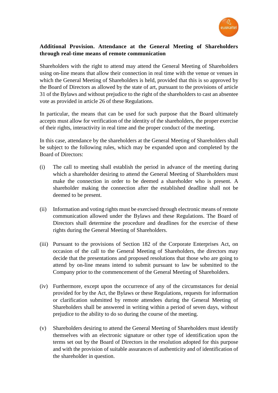

# **Additional Provision. Attendance at the General Meeting of Shareholders through real-time means of remote communication**

Shareholders with the right to attend may attend the General Meeting of Shareholders using on-line means that allow their connection in real time with the venue or venues in which the General Meeting of Shareholders is held, provided that this is so approved by the Board of Directors as allowed by the state of art, pursuant to the provisions of article 31 of the Bylaws and without prejudice to the right of the shareholders to cast an absentee vote as provided in article 26 of these Regulations.

In particular, the means that can be used for such purpose that the Board ultimately accepts must allow for verification of the identity of the shareholders, the proper exercise of their rights, interactivity in real time and the proper conduct of the meeting.

In this case, attendance by the shareholders at the General Meeting of Shareholders shall be subject to the following rules, which may be expanded upon and completed by the Board of Directors:

- (i) The call to meeting shall establish the period in advance of the meeting during which a shareholder desiring to attend the General Meeting of Shareholders must make the connection in order to be deemed a shareholder who is present. A shareholder making the connection after the established deadline shall not be deemed to be present.
- (ii) Information and voting rights must be exercised through electronic means of remote communication allowed under the Bylaws and these Regulations. The Board of Directors shall determine the procedure and deadlines for the exercise of these rights during the General Meeting of Shareholders.
- (iii) Pursuant to the provisions of Section 182 of the Corporate Enterprises Act, on occasion of the call to the General Meeting of Shareholders, the directors may decide that the presentations and proposed resolutions that those who are going to attend by on-line means intend to submit pursuant to law be submitted to the Company prior to the commencement of the General Meeting of Shareholders.
- (iv) Furthermore, except upon the occurrence of any of the circumstances for denial provided for by the Act, the Bylaws or these Regulations, requests for information or clarification submitted by remote attendees during the General Meeting of Shareholders shall be answered in writing within a period of seven days, without prejudice to the ability to do so during the course of the meeting.
- (v) Shareholders desiring to attend the General Meeting of Shareholders must identify themselves with an electronic signature or other type of identification upon the terms set out by the Board of Directors in the resolution adopted for this purpose and with the provision of suitable assurances of authenticity and of identification of the shareholder in question.